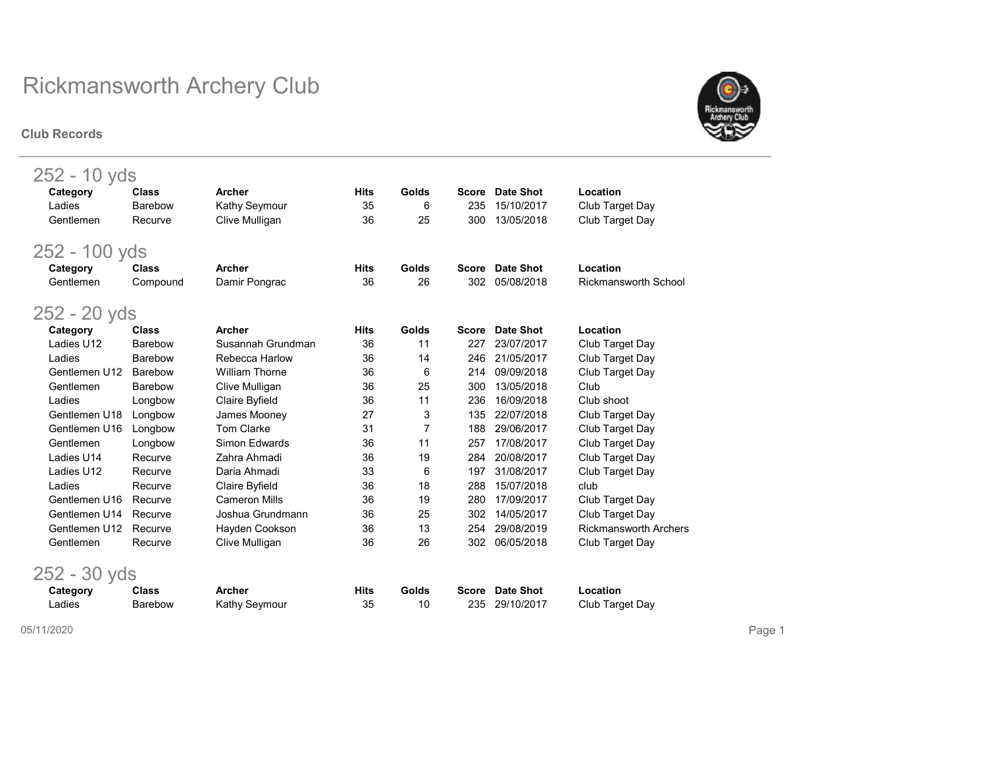#### Club Records



| 252 - 10 yds   |                |                       |             |       |              |                  |                              |
|----------------|----------------|-----------------------|-------------|-------|--------------|------------------|------------------------------|
| Category       | <b>Class</b>   | <b>Archer</b>         | <b>Hits</b> | Golds | <b>Score</b> | <b>Date Shot</b> | Location                     |
| Ladies         | Barebow        | Kathy Seymour         | 35          | 6     | 235          | 15/10/2017       | Club Target Day              |
| Gentlemen      | Recurve        | Clive Mulligan        | 36          | 25    | 300          | 13/05/2018       | Club Target Day              |
| 252 - 100 yds  |                |                       |             |       |              |                  |                              |
| Category       | <b>Class</b>   | <b>Archer</b>         | <b>Hits</b> | Golds | <b>Score</b> | <b>Date Shot</b> | Location                     |
| Gentlemen      | Compound       | Damir Pongrac         | 36          | 26    | 302          | 05/08/2018       | <b>Rickmansworth School</b>  |
| 252 - 20 yds   |                |                       |             |       |              |                  |                              |
| Category       | <b>Class</b>   | <b>Archer</b>         | <b>Hits</b> | Golds | <b>Score</b> | <b>Date Shot</b> | Location                     |
| Ladies U12     | Barebow        | Susannah Grundman     | 36          | 11    | 227          | 23/07/2017       | Club Target Day              |
| Ladies         | Barebow        | Rebecca Harlow        | 36          | 14    | 246          | 21/05/2017       | Club Target Day              |
| Gentlemen U12  | Barebow        | <b>William Thorne</b> | 36          | 6     | 214          | 09/09/2018       | Club Target Day              |
| Gentlemen      | <b>Barebow</b> | Clive Mulligan        | 36          | 25    | 300          | 13/05/2018       | Club                         |
| Ladies         | Longbow        | Claire Byfield        | 36          | 11    | 236          | 16/09/2018       | Club shoot                   |
| Gentlemen U18  | Longbow        | James Mooney          | 27          | 3     | 135          | 22/07/2018       | Club Target Day              |
| Gentlemen U16  | Longbow        | <b>Tom Clarke</b>     | 31          | 7     | 188          | 29/06/2017       | Club Target Day              |
| Gentlemen      | Longbow        | Simon Edwards         | 36          | 11    | 257          | 17/08/2017       | Club Target Day              |
| Ladies U14     | Recurve        | Zahra Ahmadi          | 36          | 19    | 284          | 20/08/2017       | Club Target Day              |
| Ladies U12     | Recurve        | Daria Ahmadi          | 33          | 6     | 197          | 31/08/2017       | Club Target Day              |
| Ladies         | Recurve        | Claire Byfield        | 36          | 18    | 288          | 15/07/2018       | club                         |
| Gentlemen U16  | Recurve        | <b>Cameron Mills</b>  | 36          | 19    | 280          | 17/09/2017       | Club Target Day              |
| Gentlemen U14  | Recurve        | Joshua Grundmann      | 36          | 25    | 302          | 14/05/2017       | Club Target Day              |
| Gentlemen U12  | Recurve        | Hayden Cookson        | 36          | 13    | 254          | 29/08/2019       | <b>Rickmansworth Archers</b> |
| Gentlemen      | Recurve        | Clive Mulligan        | 36          | 26    | 302          | 06/05/2018       | Club Target Day              |
| $252 - 30$ yds |                |                       |             |       |              |                  |                              |

| Category | Class   | Archer        | Hits | <b>Golds</b> | Score Date Shot | Location        |
|----------|---------|---------------|------|--------------|-----------------|-----------------|
| _adies   | Barebow | Kathy Seymour | 35   | 10           | 235 29/10/2017  | Club Target Day |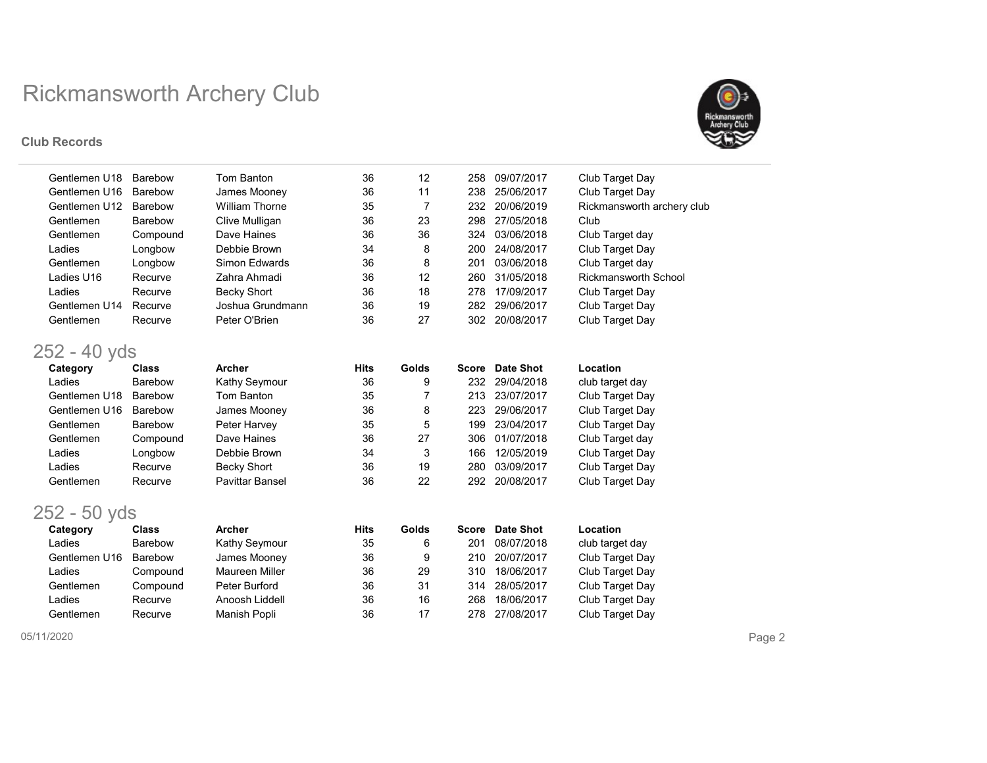#### Club Records



| Gentlemen U18  | <b>Barebow</b> | <b>Tom Banton</b>      | 36          | 12    | 258          | 09/07/2017       | Club Target Day             |
|----------------|----------------|------------------------|-------------|-------|--------------|------------------|-----------------------------|
| Gentlemen U16  | Barebow        | James Mooney           | 36          | 11    | 238          | 25/06/2017       | Club Target Day             |
| Gentlemen U12  | <b>Barebow</b> | <b>William Thorne</b>  | 35          | 7     | 232          | 20/06/2019       | Rickmansworth archery club  |
| Gentlemen      | <b>Barebow</b> | Clive Mulligan         | 36          | 23    | 298          | 27/05/2018       | Club                        |
| Gentlemen      | Compound       | Dave Haines            | 36          | 36    | 324          | 03/06/2018       | Club Target day             |
| Ladies         | Longbow        | Debbie Brown           | 34          | 8     | 200          | 24/08/2017       | Club Target Day             |
| Gentlemen      | Longbow        | <b>Simon Edwards</b>   | 36          | 8     | 201          | 03/06/2018       | Club Target day             |
| Ladies U16     | Recurve        | Zahra Ahmadi           | 36          | 12    | 260          | 31/05/2018       | <b>Rickmansworth School</b> |
| Ladies         | Recurve        | <b>Becky Short</b>     | 36          | 18    | 278          | 17/09/2017       | Club Target Day             |
| Gentlemen U14  | Recurve        | Joshua Grundmann       | 36          | 19    | 282          | 29/06/2017       | Club Target Day             |
| Gentlemen      | Recurve        | Peter O'Brien          | 36          | 27    | 302          | 20/08/2017       | Club Target Day             |
| $252 - 40$ yds |                |                        |             |       |              |                  |                             |
| Category       | <b>Class</b>   | Archer                 | <b>Hits</b> | Golds | <b>Score</b> | <b>Date Shot</b> | Location                    |
| Ladies         | Barebow        | <b>Kathy Seymour</b>   | 36          | 9     | 232          | 29/04/2018       | club target day             |
| Gentlemen U18  | <b>Barebow</b> | Tom Banton             | 35          | 7     | 213          | 23/07/2017       | Club Target Day             |
| Gentlemen U16  | Barebow        | James Mooney           | 36          | 8     | 223          | 29/06/2017       | Club Target Day             |
| Gentlemen      | <b>Barebow</b> | Peter Harvey           | 35          | 5     | 199          | 23/04/2017       | Club Target Day             |
| Gentlemen      | Compound       | Dave Haines            | 36          | 27    | 306          | 01/07/2018       | Club Target day             |
| Ladies         | Longbow        | Debbie Brown           | 34          | 3     | 166          | 12/05/2019       | Club Target Day             |
| Ladies         | Recurve        | <b>Becky Short</b>     | 36          | 19    | 280          | 03/09/2017       | Club Target Day             |
| Gentlemen      | Recurve        | <b>Pavittar Bansel</b> | 36          | 22    | 292          | 20/08/2017       | Club Target Day             |
| $252 - 50$ yds |                |                        |             |       |              |                  |                             |
| Category       | <b>Class</b>   | Archer                 | <b>Hits</b> | Golds | <b>Score</b> | <b>Date Shot</b> | Location                    |
| Ladies         | Barebow        | Kathy Seymour          | 35          | 6     | 201          | 08/07/2018       | club target day             |
| Gentlemen U16  | Barebow        | James Mooney           | 36          | 9     | 210          | 20/07/2017       | Club Target Day             |
| Ladies         | Compound       | <b>Maureen Miller</b>  | 36          | 29    | 310          | 18/06/2017       | Club Target Day             |
| Gentlemen      | Compound       | Peter Burford          | 36          | 31    | 314          | 28/05/2017       | Club Target Day             |
| Ladies         | Recurve        | Anoosh Liddell         | 36          | 16    | 268          | 18/06/2017       | Club Target Day             |
| Gentlemen      | Recurve        | Manish Popli           | 36          | 17    | 278          | 27/08/2017       | Club Target Day             |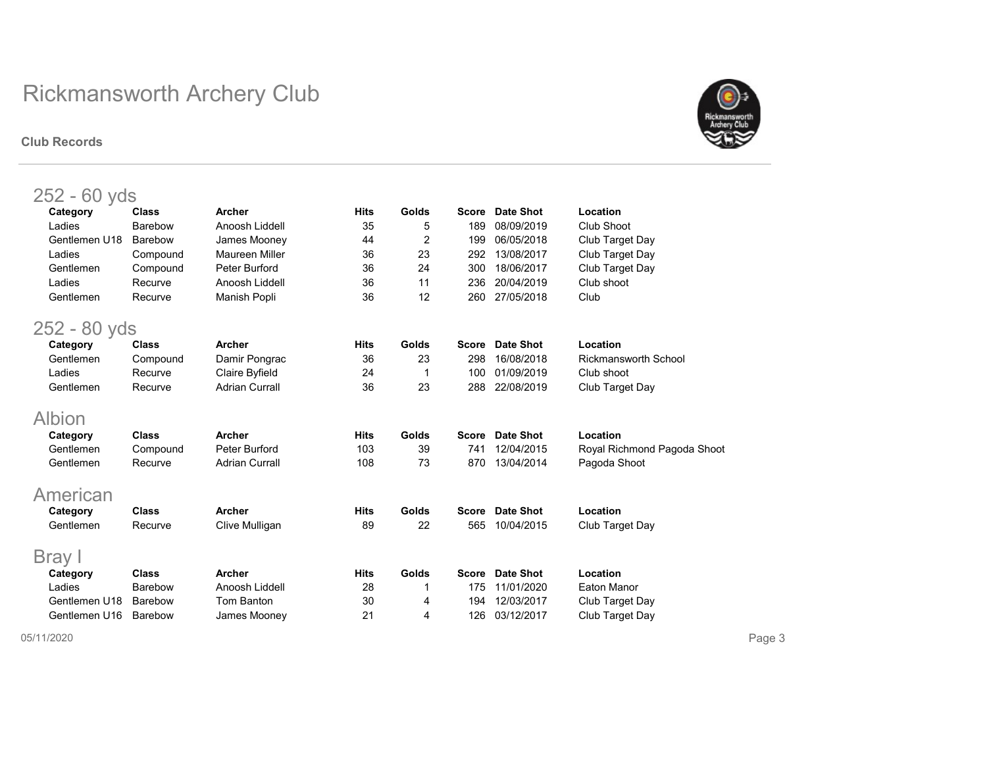#### Club Records



| $252 - 60$ yds |                |                       |             |              |              |                  |                             |
|----------------|----------------|-----------------------|-------------|--------------|--------------|------------------|-----------------------------|
| Category       | Class          | Archer                | <b>Hits</b> | Golds        | <b>Score</b> | Date Shot        | Location                    |
| Ladies         | Barebow        | Anoosh Liddell        | 35          | 5            | 189          | 08/09/2019       | Club Shoot                  |
| Gentlemen U18  | Barebow        | James Mooney          | 44          | 2            | 199          | 06/05/2018       | Club Target Day             |
| Ladies         | Compound       | Maureen Miller        | 36          | 23           | 292          | 13/08/2017       | Club Target Day             |
| Gentlemen      | Compound       | Peter Burford         | 36          | 24           | 300          | 18/06/2017       | Club Target Day             |
| Ladies         | Recurve        | Anoosh Liddell        | 36          | 11           | 236          | 20/04/2019       | Club shoot                  |
| Gentlemen      | Recurve        | Manish Popli          | 36          | 12           | 260          | 27/05/2018       | Club                        |
| 252 - 80 yds   |                |                       |             |              |              |                  |                             |
| Category       | <b>Class</b>   | <b>Archer</b>         | <b>Hits</b> | Golds        | <b>Score</b> | Date Shot        | Location                    |
| Gentlemen      | Compound       | Damir Pongrac         | 36          | 23           | 298          | 16/08/2018       | <b>Rickmansworth School</b> |
| Ladies         | Recurve        | Claire Byfield        | 24          | 1            | 100          | 01/09/2019       | Club shoot                  |
| Gentlemen      | Recurve        | <b>Adrian Currall</b> | 36          | 23           | 288          | 22/08/2019       | Club Target Day             |
| Albion         |                |                       |             |              |              |                  |                             |
| Category       | <b>Class</b>   | Archer                | <b>Hits</b> | <b>Golds</b> | <b>Score</b> | Date Shot        | Location                    |
| Gentlemen      | Compound       | Peter Burford         | 103         | 39           | 741          | 12/04/2015       | Royal Richmond Pagoda Shoot |
| Gentlemen      | Recurve        | <b>Adrian Currall</b> | 108         | 73           | 870          | 13/04/2014       | Pagoda Shoot                |
| American       |                |                       |             |              |              |                  |                             |
| Category       | <b>Class</b>   | <b>Archer</b>         | <b>Hits</b> | Golds        | <b>Score</b> | Date Shot        | Location                    |
| Gentlemen      | Recurve        | Clive Mulligan        | 89          | 22           | 565          | 10/04/2015       | Club Target Day             |
|                |                |                       |             |              |              |                  |                             |
| Bray I         |                |                       |             |              |              |                  |                             |
| Category       | <b>Class</b>   | Archer                | <b>Hits</b> | Golds        | <b>Score</b> | <b>Date Shot</b> | Location                    |
| Ladies         | Barebow        | Anoosh Liddell        | 28          |              | 175          | 11/01/2020       | Eaton Manor                 |
| Gentlemen U18  | <b>Barebow</b> | Tom Banton            | 30          | 4            | 194          | 12/03/2017       | Club Target Day             |
| Gentlemen U16  | <b>Barebow</b> | James Mooney          | 21          | 4            | 126          | 03/12/2017       | Club Target Day             |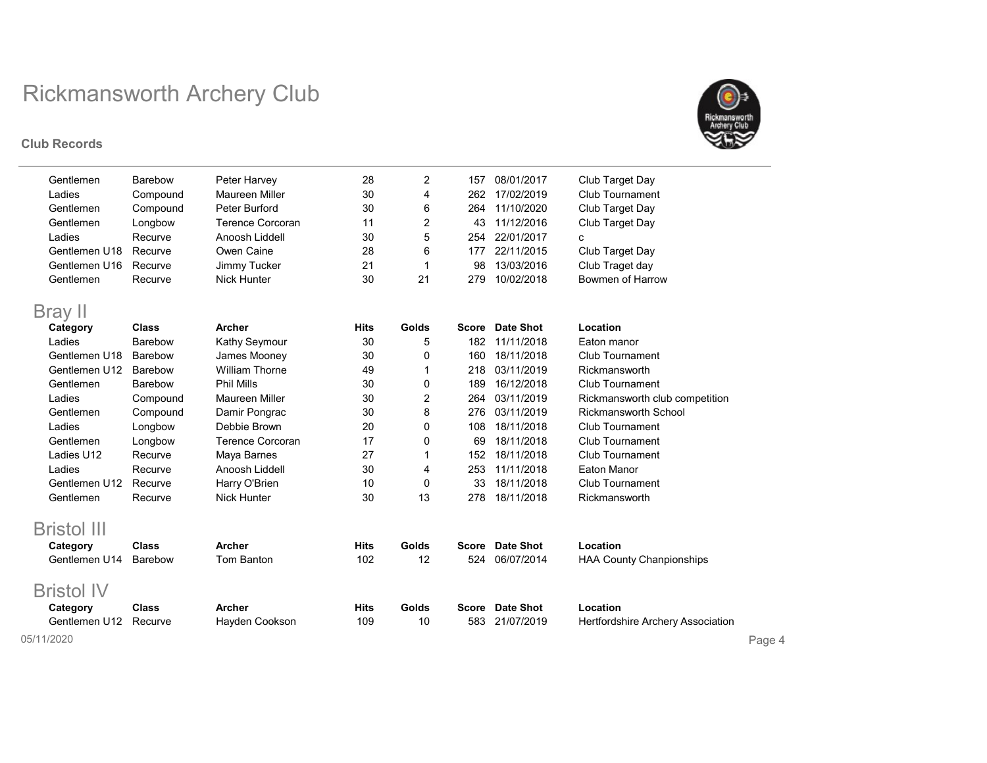#### Club Records



| Gentlemen          | <b>Barebow</b> | Peter Harvey            | 28          | 2     | 157          | 08/01/2017       | Club Target Day                 |
|--------------------|----------------|-------------------------|-------------|-------|--------------|------------------|---------------------------------|
| Ladies             | Compound       | Maureen Miller          | 30          | 4     | 262          | 17/02/2019       | <b>Club Tournament</b>          |
| Gentlemen          | Compound       | Peter Burford           | 30          | 6     | 264          | 11/10/2020       | Club Target Day                 |
| Gentlemen          | Longbow        | <b>Terence Corcoran</b> | 11          | 2     | 43           | 11/12/2016       | Club Target Day                 |
| Ladies             | Recurve        | Anoosh Liddell          | 30          | 5     | 254          | 22/01/2017       | c                               |
| Gentlemen U18      | Recurve        | Owen Caine              | 28          | 6     | 177          | 22/11/2015       | Club Target Day                 |
| Gentlemen U16      | Recurve        | Jimmy Tucker            | 21          | 1     | 98           | 13/03/2016       | Club Traget day                 |
| Gentlemen          | Recurve        | <b>Nick Hunter</b>      | 30          | 21    | 279          | 10/02/2018       | Bowmen of Harrow                |
| Bray II            |                |                         |             |       |              |                  |                                 |
| Category           | <b>Class</b>   | Archer                  | <b>Hits</b> | Golds | <b>Score</b> | <b>Date Shot</b> | Location                        |
| Ladies             | Barebow        | Kathy Seymour           | 30          | 5     | 182          | 11/11/2018       | Eaton manor                     |
| Gentlemen U18      | Barebow        | James Mooney            | 30          | 0     | 160          | 18/11/2018       | <b>Club Tournament</b>          |
| Gentlemen U12      | <b>Barebow</b> | <b>William Thorne</b>   | 49          | 1     | 218          | 03/11/2019       | Rickmansworth                   |
| Gentlemen          | Barebow        | <b>Phil Mills</b>       | 30          | 0     | 189          | 16/12/2018       | Club Tournament                 |
| Ladies             | Compound       | Maureen Miller          | 30          | 2     | 264          | 03/11/2019       | Rickmansworth club competition  |
| Gentlemen          | Compound       | Damir Pongrac           | 30          | 8     | 276          | 03/11/2019       | <b>Rickmansworth School</b>     |
| Ladies             | Longbow        | Debbie Brown            | 20          | 0     | 108          | 18/11/2018       | Club Tournament                 |
| Gentlemen          | Longbow        | <b>Terence Corcoran</b> | 17          | 0     | 69           | 18/11/2018       | <b>Club Tournament</b>          |
| Ladies U12         | Recurve        | Maya Barnes             | 27          | 1     | 152          | 18/11/2018       | <b>Club Tournament</b>          |
| Ladies             | Recurve        | Anoosh Liddell          | 30          | 4     | 253          | 11/11/2018       | Eaton Manor                     |
| Gentlemen U12      | Recurve        | Harry O'Brien           | 10          | 0     | 33           | 18/11/2018       | Club Tournament                 |
| Gentlemen          | Recurve        | <b>Nick Hunter</b>      | 30          | 13    | 278          | 18/11/2018       | Rickmansworth                   |
| <b>Bristol III</b> |                |                         |             |       |              |                  |                                 |
| Category           | <b>Class</b>   | <b>Archer</b>           | <b>Hits</b> | Golds | <b>Score</b> | <b>Date Shot</b> | Location                        |
| Gentlemen U14      | <b>Barebow</b> | <b>Tom Banton</b>       | 102         | 12    | 524          | 06/07/2014       | <b>HAA County Chanpionships</b> |
| <b>Bristol IV</b>  |                |                         |             |       |              |                  |                                 |

Category Class Archer **Hits Golds Score Date Shot** Location

Gentlemen U12 Recurve Hayden Cookson 109 10 583 21/07/2019 05/11/2020 Page 4

Hertfordshire Archery Association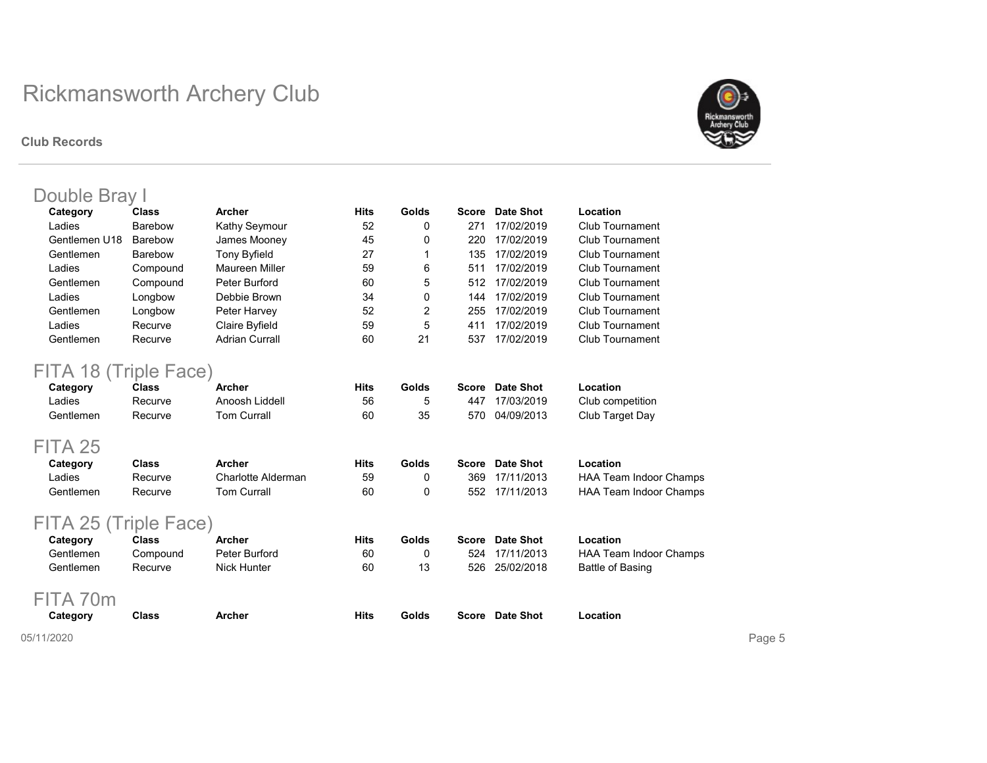#### Club Records



| Category      | <b>Class</b>   | <b>Archer</b>         | <b>Hits</b> | Golds | Score | Date Shot      | Location               |
|---------------|----------------|-----------------------|-------------|-------|-------|----------------|------------------------|
| Ladies        | <b>Barebow</b> | Kathy Seymour         | 52          | 0     | 271   | 17/02/2019     | Club Tournament        |
| Gentlemen U18 | Barebow        | James Mooney          | 45          | 0     | 220   | 17/02/2019     | Club Tournament        |
| Gentlemen     | <b>Barebow</b> | <b>Tony Byfield</b>   | 27          |       | 135   | 17/02/2019     | <b>Club Tournament</b> |
| Ladies        | Compound       | <b>Maureen Miller</b> | 59          | 6     | 511   | 17/02/2019     | <b>Club Tournament</b> |
| Gentlemen     | Compound       | Peter Burford         | 60          | 5     |       | 512 17/02/2019 | Club Tournament        |
| Ladies        | Longbow        | Debbie Brown          | 34          | 0     | 144   | 17/02/2019     | Club Tournament        |
| Gentlemen     | Longbow        | Peter Harvey          | 52          | 2     | 255   | 17/02/2019     | Club Tournament        |
| Ladies        | Recurve        | Claire Byfield        | 59          | 5     | 411   | 17/02/2019     | <b>Club Tournament</b> |
| Gentlemen     | Recurve        | <b>Adrian Currall</b> | 60          | 21    | 537   | 17/02/2019     | Club Tournament        |

| _____<br>Category | Class   | Archer         | Hits | Golds | Score Date Shot | Location         |
|-------------------|---------|----------------|------|-------|-----------------|------------------|
| ∟adies            | Recurve | Anoosh Liddell | 56   |       | 447 17/03/2019  | Club competition |
| Gentlemen         | Recurve | Tom Currall    | 60   | 35    | 570 04/09/2013  | Club Target Day  |

### FITA 25

| Category  | Class   | Archer             | Hits | Golds | Score Date Shot | Location                      |
|-----------|---------|--------------------|------|-------|-----------------|-------------------------------|
| ∟adies    | Recurve | Charlotte Alderman | 59   |       | 369 17/11/2013  | <b>HAA Team Indoor Champs</b> |
| Gentlemen | Recurve | Tom Currall        | 60   |       | 552 17/11/2013  | <b>HAA Team Indoor Champs</b> |

## FITA 25 (Triple Face)

| Category  | Class    | Archer        | Hits | Golds | Score Date Shot | Location               |
|-----------|----------|---------------|------|-------|-----------------|------------------------|
| Gentlemen | Compound | Peter Burford | 60   |       | 524 17/11/2013  | HAA Team Indoor Champs |
| Gentlemen | Recurve  | Nick Hunter   | 60   | 13    | 526 25/02/2018  | Battle of Basing       |

## FITA 70m

| Category | Class<br>. | Archer | Hits<br>$ -$ | Golds<br>. | <b>Score</b> Date Shot<br>- - - - | Location<br>. |
|----------|------------|--------|--------------|------------|-----------------------------------|---------------|
|          |            |        |              |            |                                   |               |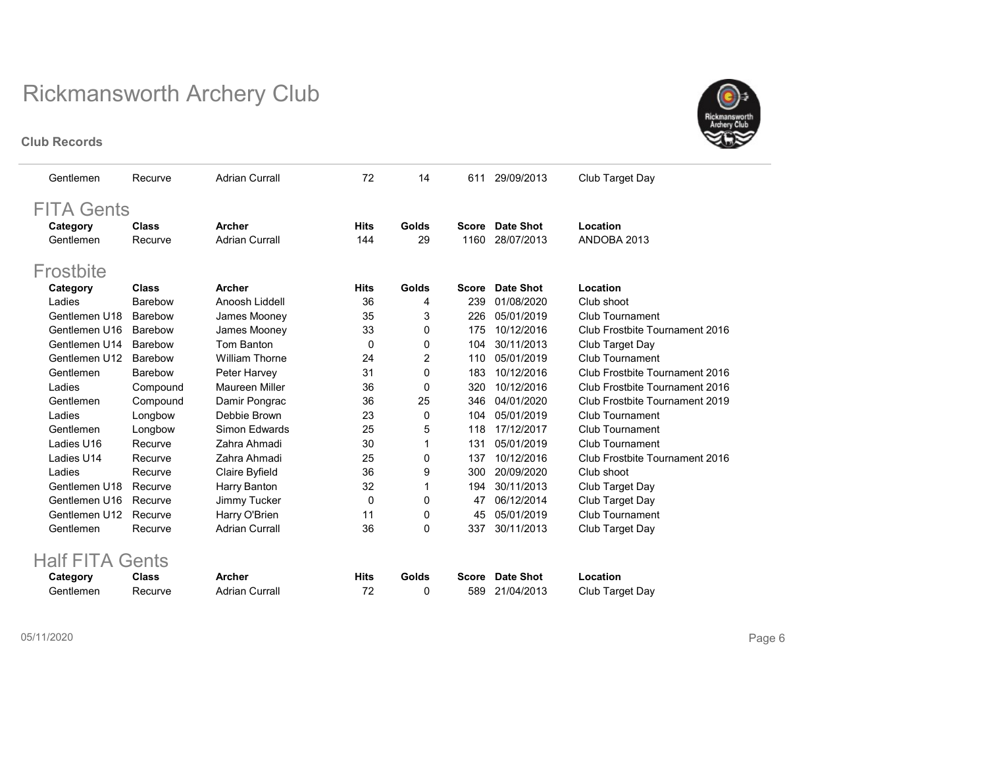#### Club Records



| Gentlemen         | Recurve      | <b>Adrian Currall</b> | 72          | 14             | 611          | 29/09/2013       | Club Target Day                |
|-------------------|--------------|-----------------------|-------------|----------------|--------------|------------------|--------------------------------|
| <b>FITA Gents</b> |              |                       |             |                |              |                  |                                |
| Category          | <b>Class</b> | Archer                | <b>Hits</b> | Golds          | Score        | Date Shot        | Location                       |
| Gentlemen         | Recurve      | <b>Adrian Currall</b> | 144         | 29             | 1160         | 28/07/2013       | ANDOBA 2013                    |
| Frostbite         |              |                       |             |                |              |                  |                                |
| Category          | Class        | Archer                | <b>Hits</b> | Golds          | <b>Score</b> | <b>Date Shot</b> | Location                       |
| Ladies            | Barebow      | Anoosh Liddell        | 36          | 4              | 239          | 01/08/2020       | Club shoot                     |
| Gentlemen U18     | Barebow      | James Mooney          | 35          | 3              | 226          | 05/01/2019       | Club Tournament                |
| Gentlemen U16     | Barebow      | James Mooney          | 33          | 0              | 175          | 10/12/2016       | Club Frostbite Tournament 2016 |
| Gentlemen U14     | Barebow      | Tom Banton            | 0           | 0              | 104          | 30/11/2013       | Club Target Day                |
| Gentlemen U12     | Barebow      | <b>William Thorne</b> | 24          | $\overline{2}$ | 110          | 05/01/2019       | Club Tournament                |
| Gentlemen         | Barebow      | Peter Harvey          | 31          | 0              | 183          | 10/12/2016       | Club Frostbite Tournament 2016 |
| Ladies            | Compound     | Maureen Miller        | 36          | 0              | 320          | 10/12/2016       | Club Frostbite Tournament 2016 |
| Gentlemen         | Compound     | Damir Pongrac         | 36          | 25             | 346          | 04/01/2020       | Club Frostbite Tournament 2019 |
| Ladies            | Longbow      | Debbie Brown          | 23          | 0              | 104          | 05/01/2019       | <b>Club Tournament</b>         |
| Gentlemen         | Longbow      | Simon Edwards         | 25          | 5              | 118          | 17/12/2017       | Club Tournament                |
| Ladies U16        | Recurve      | Zahra Ahmadi          | 30          | 1              | 131          | 05/01/2019       | Club Tournament                |
| Ladies U14        | Recurve      | Zahra Ahmadi          | 25          | 0              | 137          | 10/12/2016       | Club Frostbite Tournament 2016 |
| Ladies            | Recurve      | Claire Byfield        | 36          | 9              | 300          | 20/09/2020       | Club shoot                     |
| Gentlemen U18     | Recurve      | Harry Banton          | 32          | 1              | 194          | 30/11/2013       | Club Target Day                |
| Gentlemen U16     | Recurve      | Jimmy Tucker          | 0           | 0              | 47           | 06/12/2014       | Club Target Day                |
| Gentlemen U12     | Recurve      | Harry O'Brien         | 11          | 0              | 45           | 05/01/2019       | Club Tournament                |
| Gentlemen         | Recurve      | <b>Adrian Currall</b> | 36          | 0              | 337          | 30/11/2013       | Club Target Day                |

| Category  | <b>Class</b> | Archer         | Hits | Golds | Score Date Shot | Location        |
|-----------|--------------|----------------|------|-------|-----------------|-----------------|
| Gentlemen | Recurve      | Adrian Currall |      |       | 589 21/04/2013  | Club Target Day |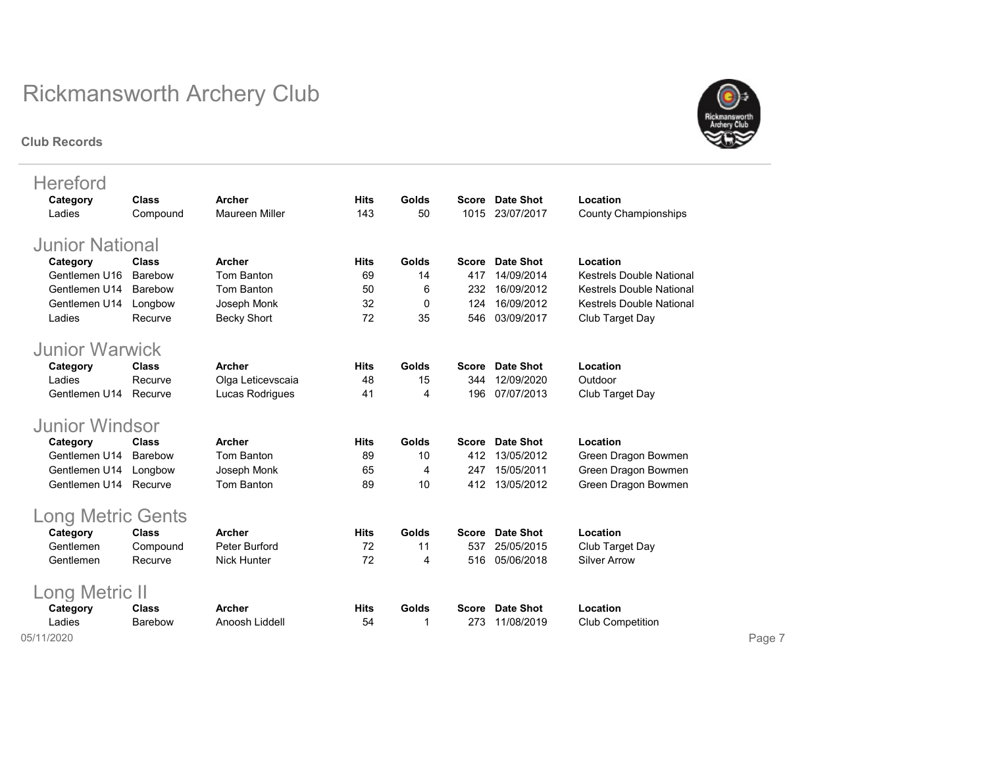#### Club Records



| <b>Hereford</b>          |              |                       |             |       |       |                  |                                 |
|--------------------------|--------------|-----------------------|-------------|-------|-------|------------------|---------------------------------|
| Category                 | Class        | Archer                | <b>Hits</b> | Golds | Score | Date Shot        | Location                        |
| Ladies                   | Compound     | <b>Maureen Miller</b> | 143         | 50    | 1015  | 23/07/2017       | <b>County Championships</b>     |
| <b>Junior National</b>   |              |                       |             |       |       |                  |                                 |
| Category                 | <b>Class</b> | <b>Archer</b>         | <b>Hits</b> | Golds | Score | Date Shot        | Location                        |
| Gentlemen U16            | Barebow      | Tom Banton            | 69          | 14    | 417   | 14/09/2014       | <b>Kestrels Double National</b> |
| Gentlemen U14            | Barebow      | Tom Banton            | 50          | 6     | 232   | 16/09/2012       | <b>Kestrels Double National</b> |
| Gentlemen U14            | Longbow      | Joseph Monk           | 32          | 0     | 124   | 16/09/2012       | <b>Kestrels Double National</b> |
| Ladies                   | Recurve      | <b>Becky Short</b>    | 72          | 35    | 546   | 03/09/2017       | Club Target Day                 |
|                          |              |                       |             |       |       |                  |                                 |
| <b>Junior Warwick</b>    |              |                       |             |       |       |                  |                                 |
| Category                 | <b>Class</b> | <b>Archer</b>         | <b>Hits</b> | Golds | Score | Date Shot        | Location                        |
| Ladies                   | Recurve      | Olga Leticevscaia     | 48          | 15    | 344   | 12/09/2020       | Outdoor                         |
| Gentlemen U14            | Recurve      | Lucas Rodrigues       | 41          | 4     | 196   | 07/07/2013       | Club Target Day                 |
| <b>Junior Windsor</b>    |              |                       |             |       |       |                  |                                 |
| Category                 | <b>Class</b> | <b>Archer</b>         | <b>Hits</b> | Golds | Score | Date Shot        | Location                        |
| Gentlemen U14            | Barebow      | Tom Banton            | 89          | 10    | 412   | 13/05/2012       | Green Dragon Bowmen             |
| Gentlemen U14            | Longbow      | Joseph Monk           | 65          | 4     | 247   | 15/05/2011       | Green Dragon Bowmen             |
| Gentlemen U14            | Recurve      | Tom Banton            | 89          | 10    | 412   | 13/05/2012       | Green Dragon Bowmen             |
|                          |              |                       |             |       |       |                  |                                 |
| <b>Long Metric Gents</b> |              |                       |             |       |       |                  |                                 |
| Category                 | <b>Class</b> | <b>Archer</b>         | <b>Hits</b> | Golds | Score | <b>Date Shot</b> | Location                        |
| Gentlemen                | Compound     | Peter Burford         | 72          | 11    | 537   | 25/05/2015       | Club Target Day                 |
| Gentlemen                | Recurve      | <b>Nick Hunter</b>    | 72          | 4     | 516   | 05/06/2018       | <b>Silver Arrow</b>             |
| Long Metric II           |              |                       |             |       |       |                  |                                 |
| Category                 | <b>Class</b> | <b>Archer</b>         | <b>Hits</b> | Golds | Score | Date Shot        | Location                        |
| Ladies                   | Barebow      | Anoosh Liddell        | 54          | 1     | 273   | 11/08/2019       | <b>Club Competition</b>         |
|                          |              |                       |             |       |       |                  |                                 |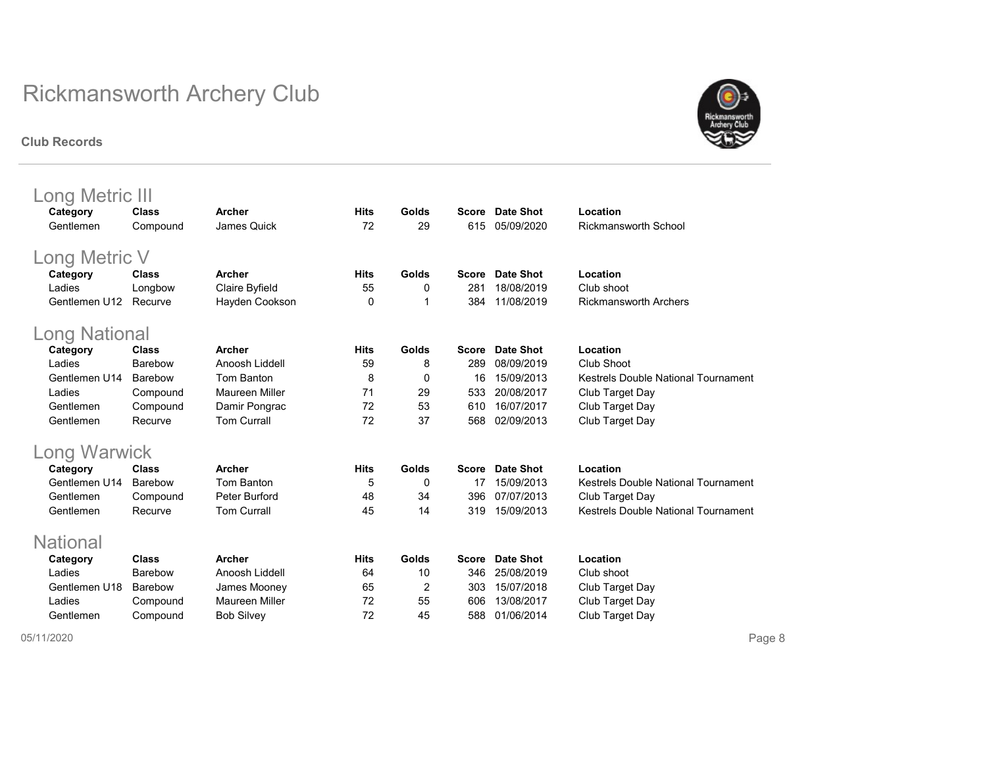#### Club Records



| Long Metric III      |                  |                                 |             |       |              |                  |                                     |  |  |  |
|----------------------|------------------|---------------------------------|-------------|-------|--------------|------------------|-------------------------------------|--|--|--|
| Category             | Class            | <b>Archer</b>                   | <b>Hits</b> | Golds | <b>Score</b> | Date Shot        | Location                            |  |  |  |
| Gentlemen            | Compound         | James Quick                     | 72          | 29    | 615          | 05/09/2020       | Rickmansworth School                |  |  |  |
| Long Metric V        |                  |                                 |             |       |              |                  |                                     |  |  |  |
| Category             | Class            | <b>Archer</b>                   | <b>Hits</b> | Golds | Score        | <b>Date Shot</b> | Location                            |  |  |  |
| Ladies               | Longbow          | Claire Byfield                  | 55          | 0     | 281          | 18/08/2019       | Club shoot                          |  |  |  |
| Gentlemen U12        | Recurve          | Hayden Cookson                  | 0           | 1     | 384          | 11/08/2019       | <b>Rickmansworth Archers</b>        |  |  |  |
| <b>Long National</b> |                  |                                 |             |       |              |                  |                                     |  |  |  |
|                      |                  |                                 |             |       |              |                  |                                     |  |  |  |
| Category<br>Ladies   | Class<br>Barebow | <b>Archer</b><br>Anoosh Liddell | <b>Hits</b> | Golds | Score        | <b>Date Shot</b> | Location<br>Club Shoot              |  |  |  |
|                      |                  |                                 | 59          | 8     | 289          | 08/09/2019       |                                     |  |  |  |
| Gentlemen U14        | Barebow          | Tom Banton                      | 8           | 0     | 16           | 15/09/2013       | Kestrels Double National Tournament |  |  |  |
| Ladies               | Compound         | Maureen Miller                  | 71          | 29    | 533          | 20/08/2017       | Club Target Day                     |  |  |  |
| Gentlemen            | Compound         | Damir Pongrac                   | 72          | 53    | 610          | 16/07/2017       | Club Target Day                     |  |  |  |
| Gentlemen            | Recurve          | <b>Tom Currall</b>              | 72          | 37    | 568          | 02/09/2013       | Club Target Day                     |  |  |  |
| Long Warwick         |                  |                                 |             |       |              |                  |                                     |  |  |  |
| Category             | <b>Class</b>     | Archer                          | <b>Hits</b> | Golds | <b>Score</b> | Date Shot        | Location                            |  |  |  |
| Gentlemen U14        | Barebow          | Tom Banton                      | 5           | 0     | 17           | 15/09/2013       | Kestrels Double National Tournament |  |  |  |
| Gentlemen            | Compound         | Peter Burford                   | 48          | 34    | 396          | 07/07/2013       | Club Target Day                     |  |  |  |
| Gentlemen            | Recurve          | <b>Tom Currall</b>              | 45          | 14    | 319          | 15/09/2013       | Kestrels Double National Tournament |  |  |  |
| <b>National</b>      |                  |                                 |             |       |              |                  |                                     |  |  |  |
| Category             | <b>Class</b>     | <b>Archer</b>                   | <b>Hits</b> | Golds | <b>Score</b> | <b>Date Shot</b> | Location                            |  |  |  |
| Ladies               | Barebow          | Anoosh Liddell                  | 64          | 10    | 346          | 25/08/2019       | Club shoot                          |  |  |  |
| Gentlemen U18        | Barebow          | James Mooney                    | 65          | 2     | 303          | 15/07/2018       | Club Target Day                     |  |  |  |
| Ladies               | Compound         | <b>Maureen Miller</b>           | 72          | 55    | 606          | 13/08/2017       | Club Target Day                     |  |  |  |
| Gentlemen            | Compound         | <b>Bob Silvey</b>               | 72          | 45    | 588          | 01/06/2014       | Club Target Day                     |  |  |  |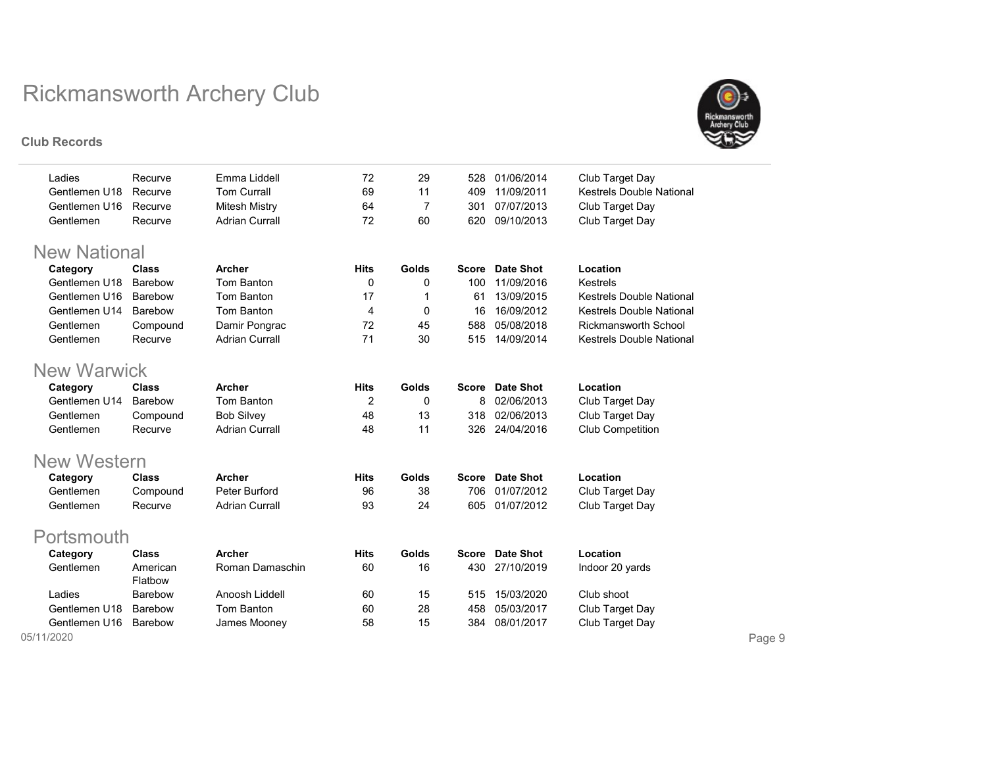#### Club Records



| Ladies              | Recurve        | Emma Liddell          | 72          | 29           | 528          | 01/06/2014       | Club Target Day                 |
|---------------------|----------------|-----------------------|-------------|--------------|--------------|------------------|---------------------------------|
| Gentlemen U18       | Recurve        | <b>Tom Currall</b>    | 69          | 11           | 409          | 11/09/2011       | <b>Kestrels Double National</b> |
| Gentlemen U16       | Recurve        | <b>Mitesh Mistry</b>  | 64          | 7            | 301          | 07/07/2013       | Club Target Day                 |
| Gentlemen           | Recurve        | <b>Adrian Currall</b> | 72          | 60           | 620          | 09/10/2013       | Club Target Day                 |
|                     |                |                       |             |              |              |                  |                                 |
| <b>New National</b> |                |                       |             |              |              |                  |                                 |
| Category            | <b>Class</b>   | Archer                | <b>Hits</b> | <b>Golds</b> | <b>Score</b> | Date Shot        | Location                        |
| Gentlemen U18       | Barebow        | Tom Banton            | 0           | 0            | 100          | 11/09/2016       | Kestrels                        |
| Gentlemen U16       | Barebow        | Tom Banton            | 17          | 1            | 61           | 13/09/2015       | <b>Kestrels Double National</b> |
| Gentlemen U14       | Barebow        | <b>Tom Banton</b>     | 4           | $\mathbf 0$  | 16           | 16/09/2012       | <b>Kestrels Double National</b> |
| Gentlemen           | Compound       | Damir Pongrac         | 72          | 45           | 588          | 05/08/2018       | <b>Rickmansworth School</b>     |
| Gentlemen           | Recurve        | <b>Adrian Currall</b> | 71          | 30           | 515          | 14/09/2014       | <b>Kestrels Double National</b> |
|                     |                |                       |             |              |              |                  |                                 |
| <b>New Warwick</b>  |                |                       |             |              |              |                  |                                 |
| Category            | <b>Class</b>   | <b>Archer</b>         | <b>Hits</b> | Golds        |              | Score Date Shot  | Location                        |
| Gentlemen U14       | Barebow        | Tom Banton            | 2           | 0            | 8            | 02/06/2013       | Club Target Day                 |
| Gentlemen           | Compound       | <b>Bob Silvey</b>     | 48          | 13           | 318          | 02/06/2013       | Club Target Day                 |
| Gentlemen           | Recurve        | <b>Adrian Currall</b> | 48          | 11           | 326          | 24/04/2016       | Club Competition                |
|                     |                |                       |             |              |              |                  |                                 |
| <b>New Western</b>  |                |                       |             |              |              |                  |                                 |
| Category            | <b>Class</b>   | <b>Archer</b>         | <b>Hits</b> | Golds        | <b>Score</b> | <b>Date Shot</b> | Location                        |
| Gentlemen           | Compound       | Peter Burford         | 96          | 38           | 706          | 01/07/2012       | Club Target Day                 |
| Gentlemen           | Recurve        | <b>Adrian Currall</b> | 93          | 24           | 605          | 01/07/2012       | Club Target Day                 |
|                     |                |                       |             |              |              |                  |                                 |
| Portsmouth          |                |                       |             |              |              |                  |                                 |
| Category            | <b>Class</b>   | <b>Archer</b>         | <b>Hits</b> | <b>Golds</b> | <b>Score</b> | <b>Date Shot</b> | Location                        |
| Gentlemen           | American       | Roman Damaschin       | 60          | 16           | 430          | 27/10/2019       | Indoor 20 yards                 |
|                     | Flatbow        |                       |             |              |              |                  |                                 |
| Ladies              | Barebow        | Anoosh Liddell        | 60          | 15           | 515          | 15/03/2020       | Club shoot                      |
| Gentlemen U18       | Barebow        | Tom Banton            | 60          | 28           | 458          | 05/03/2017       | Club Target Day                 |
| Gentlemen U16       | <b>Barebow</b> | James Mooney          | 58          | 15           | 384          | 08/01/2017       | Club Target Day                 |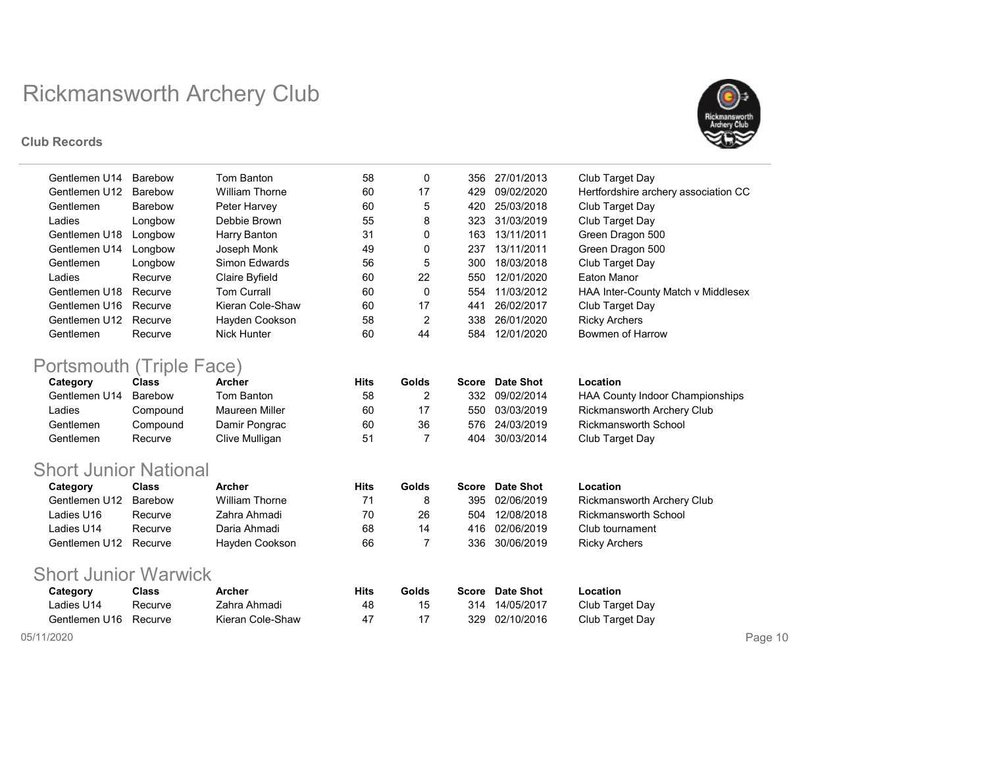#### Club Records



| Gentlemen U14 | Barebow | Tom Banton         | 58 | 0  | 356 | 27/01/2013 | Club Target Day                      |
|---------------|---------|--------------------|----|----|-----|------------|--------------------------------------|
| Gentlemen U12 | Barebow | William Thorne     | 60 | 17 | 429 | 09/02/2020 | Hertfordshire archery association CC |
| Gentlemen     | Barebow | Peter Harvey       | 60 | 5  | 420 | 25/03/2018 | Club Target Day                      |
| Ladies        | Longbow | Debbie Brown       | 55 | 8  | 323 | 31/03/2019 | Club Target Day                      |
| Gentlemen U18 | Longbow | Harry Banton       | 31 | 0  | 163 | 13/11/2011 | Green Dragon 500                     |
| Gentlemen U14 | Longbow | Joseph Monk        | 49 | 0  | 237 | 13/11/2011 | Green Dragon 500                     |
| Gentlemen     | Longbow | Simon Fdwards      | 56 | 5  | 300 | 18/03/2018 | Club Target Day                      |
| Ladies        | Recurve | Claire Byfield     | 60 | 22 | 550 | 12/01/2020 | Eaton Manor                          |
| Gentlemen U18 | Recurve | <b>Tom Currall</b> | 60 | 0  | 554 | 11/03/2012 | HAA Inter-County Match v Middlesex   |
| Gentlemen U16 | Recurve | Kieran Cole-Shaw   | 60 | 17 | 441 | 26/02/2017 | Club Target Day                      |
| Gentlemen U12 | Recurve | Hayden Cookson     | 58 | 2  | 338 | 26/01/2020 | <b>Ricky Archers</b>                 |
| Gentlemen     | Recurve | Nick Hunter        | 60 | 44 | 584 | 12/01/2020 | <b>Bowmen of Harrow</b>              |

## Portsmouth (Triple Face)

| Category      | <b>Class</b> | Archer         | Hits | Golds | Score | Date Shot  | Location                        |
|---------------|--------------|----------------|------|-------|-------|------------|---------------------------------|
| Gentlemen U14 | Barebow      | Tom Banton     | 58   |       | 332   | 09/02/2014 | HAA County Indoor Championships |
| Ladies        | Compound     | Maureen Miller | 60   | 17    | 550   | 03/03/2019 | Rickmansworth Archery Club      |
| Gentlemen     | Compound     | Damir Pongrac  | 60   | 36    | 576   | 24/03/2019 | <b>Rickmansworth School</b>     |
| Gentlemen     | Recurve      | Clive Mulligan | 51   |       | 404   | 30/03/2014 | Club Target Day                 |

### Short Junior National

| Category              | Class   | Archer         | Hits | Golds | Score | <b>Date Shot</b> | Location                          |
|-----------------------|---------|----------------|------|-------|-------|------------------|-----------------------------------|
| Gentlemen U12         | Barebow | William Thorne | 71   |       | 395   | 02/06/2019       | <b>Rickmansworth Archery Club</b> |
| Ladies U16            | Recurve | Zahra Ahmadi   | 70   | 26    | 504   | 12/08/2018       | Rickmansworth School              |
| ∟adies U14            | Recurve | Daria Ahmadi   | 68   | 14    |       | 416 02/06/2019   | Club tournament                   |
| Gentlemen U12 Recurve |         | Hayden Cookson | 66   |       | 336   | 30/06/2019       | Ricky Archers                     |

### Short Junior Warwick

| Category              | Class   | <b>Archer</b>    | Hits | Golds |     | Score Date Shot | Location        |
|-----------------------|---------|------------------|------|-------|-----|-----------------|-----------------|
| Ladies U14            | Recurve | Zahra Ahmadi     | 48   |       |     | 314 14/05/2017  | Club Target Day |
| Gentlemen U16 Recurve |         | Kieran Cole-Shaw | 47   |       | 329 | 02/10/2016      | Club Target Day |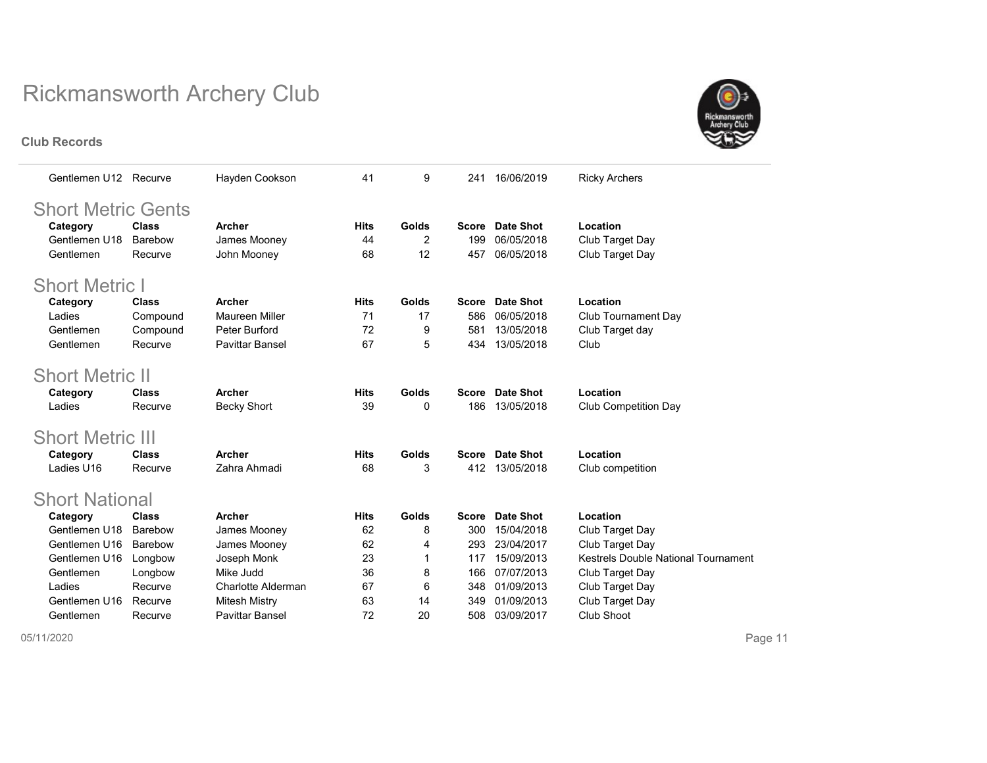Club Records



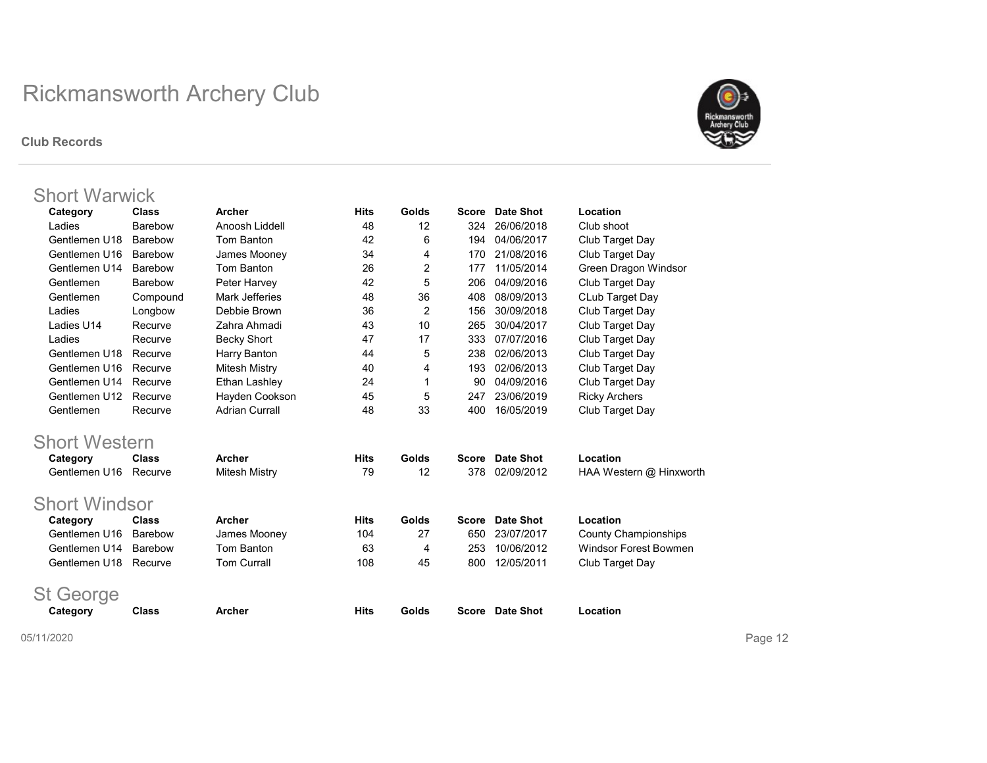#### Club Records



### Short Warwick

| Category             | <b>Class</b>   | Archer                | <b>Hits</b> | Golds          | <b>Score</b> | <b>Date Shot</b> | Location                     |
|----------------------|----------------|-----------------------|-------------|----------------|--------------|------------------|------------------------------|
| Ladies               | Barebow        | Anoosh Liddell        | 48          | 12             | 324          | 26/06/2018       | Club shoot                   |
| Gentlemen U18        | Barebow        | Tom Banton            | 42          | 6              | 194          | 04/06/2017       | Club Target Day              |
| Gentlemen U16        | <b>Barebow</b> | James Mooney          | 34          | 4              | 170          | 21/08/2016       | Club Target Day              |
| Gentlemen U14        | Barebow        | Tom Banton            | 26          | 2              | 177          | 11/05/2014       | Green Dragon Windsor         |
| Gentlemen            | <b>Barebow</b> | Peter Harvey          | 42          | 5              | 206          | 04/09/2016       | Club Target Day              |
| Gentlemen            | Compound       | Mark Jefferies        | 48          | 36             | 408          | 08/09/2013       | CLub Target Day              |
| Ladies               | Longbow        | Debbie Brown          | 36          | 2              | 156          | 30/09/2018       | Club Target Day              |
| Ladies U14           | Recurve        | Zahra Ahmadi          | 43          | 10             | 265          | 30/04/2017       | Club Target Day              |
| Ladies               | Recurve        | <b>Becky Short</b>    | 47          | 17             | 333          | 07/07/2016       | Club Target Day              |
| Gentlemen U18        | Recurve        | Harry Banton          | 44          | 5              | 238          | 02/06/2013       | Club Target Day              |
| Gentlemen U16        | Recurve        | Mitesh Mistry         | 40          | 4              | 193          | 02/06/2013       | Club Target Day              |
| Gentlemen U14        | Recurve        | Ethan Lashley         | 24          | 1              | 90           | 04/09/2016       | Club Target Day              |
| Gentlemen U12        | Recurve        | Hayden Cookson        | 45          | 5              | 247          | 23/06/2019       | <b>Ricky Archers</b>         |
| Gentlemen            | Recurve        | <b>Adrian Currall</b> | 48          | 33             | 400          | 16/05/2019       | Club Target Day              |
| <b>Short Western</b> |                |                       |             |                |              |                  |                              |
| Category             | <b>Class</b>   | Archer                | <b>Hits</b> | <b>Golds</b>   | <b>Score</b> | Date Shot        | Location                     |
| Gentlemen U16        | Recurve        | <b>Mitesh Mistry</b>  | 79          | 12             | 378          | 02/09/2012       | HAA Western @ Hinxworth      |
|                      |                |                       |             |                |              |                  |                              |
| <b>Short Windsor</b> |                |                       |             |                |              |                  |                              |
| Category             | <b>Class</b>   | <b>Archer</b>         | <b>Hits</b> | Golds          | <b>Score</b> | <b>Date Shot</b> | Location                     |
| Gentlemen U16        | Barebow        | James Mooney          | 104         | 27             | 650          | 23/07/2017       | <b>County Championships</b>  |
| Gentlemen U14        | Barebow        | Tom Banton            | 63          | $\overline{4}$ | 253          | 10/06/2012       | <b>Windsor Forest Bowmen</b> |
| Gentlemen U18        | Recurve        | <b>Tom Currall</b>    | 108         | 45             | 800          | 12/05/2011       | Club Target Day              |
|                      |                |                       |             |                |              |                  |                              |
| <b>St George</b>     |                |                       |             |                |              |                  |                              |
| Category             | <b>Class</b>   | <b>Archer</b>         | <b>Hits</b> | Golds          | <b>Score</b> | <b>Date Shot</b> | Location                     |
|                      |                |                       |             |                |              |                  |                              |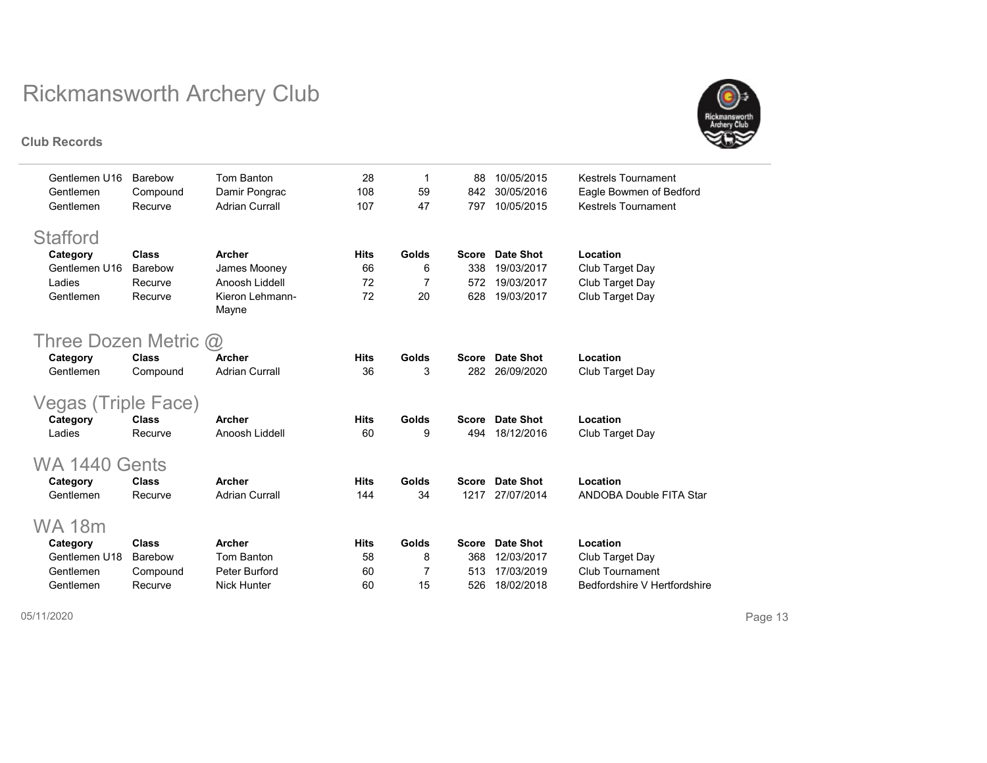



| Gentlemen U16               | Barebow        | Tom Banton            | 28          | 1     | 88           | 10/05/2015       | <b>Kestrels Tournament</b>     |
|-----------------------------|----------------|-----------------------|-------------|-------|--------------|------------------|--------------------------------|
| Gentlemen                   | Compound       | Damir Pongrac         | 108         | 59    | 842          | 30/05/2016       | Eagle Bowmen of Bedford        |
| Gentlemen                   | Recurve        | <b>Adrian Currall</b> | 107         | 47    | 797          | 10/05/2015       | Kestrels Tournament            |
| <b>Stafford</b>             |                |                       |             |       |              |                  |                                |
|                             | <b>Class</b>   | Archer                | <b>Hits</b> | Golds | <b>Score</b> | Date Shot        | Location                       |
| Category<br>Gentlemen U16   | <b>Barebow</b> | James Mooney          | 66          | 6     | 338          | 19/03/2017       | Club Target Day                |
| Ladies                      | Recurve        | Anoosh Liddell        | 72          | 7     | 572          | 19/03/2017       |                                |
| Gentlemen                   |                | Kieron Lehmann-       | 72          | 20    |              | 19/03/2017       | Club Target Day                |
|                             | Recurve        | Mayne                 |             |       | 628          |                  | Club Target Day                |
| Three Dozen Metric $\omega$ |                |                       |             |       |              |                  |                                |
|                             |                |                       |             |       |              |                  |                                |
| Category                    | <b>Class</b>   | Archer                | <b>Hits</b> | Golds | <b>Score</b> | Date Shot        | Location                       |
| Gentlemen                   | Compound       | <b>Adrian Currall</b> | 36          | 3     | 282          | 26/09/2020       | Club Target Day                |
| Vegas (Triple Face)         |                |                       |             |       |              |                  |                                |
| Category                    | <b>Class</b>   | Archer                | <b>Hits</b> | Golds | <b>Score</b> | <b>Date Shot</b> | Location                       |
| Ladies                      | Recurve        | Anoosh Liddell        | 60          | 9     | 494          | 18/12/2016       | Club Target Day                |
| WA 1440                     | Gents          |                       |             |       |              |                  |                                |
| Category                    | <b>Class</b>   | Archer                | <b>Hits</b> | Golds | <b>Score</b> | Date Shot        | Location                       |
| Gentlemen                   | Recurve        | <b>Adrian Currall</b> | 144         | 34    | 1217         | 27/07/2014       | <b>ANDOBA Double FITA Star</b> |
|                             |                |                       |             |       |              |                  |                                |
| WA 18m                      |                |                       |             |       |              |                  |                                |
| Category                    | <b>Class</b>   | <b>Archer</b>         | <b>Hits</b> | Golds | <b>Score</b> | <b>Date Shot</b> | Location                       |
| Gentlemen U18               | <b>Barebow</b> | Tom Banton            | 58          | 8     | 368          | 12/03/2017       | Club Target Day                |
| Gentlemen                   | Compound       | Peter Burford         | 60          | 7     | 513          | 17/03/2019       | Club Tournament                |
| Gentlemen                   | Recurve        | <b>Nick Hunter</b>    | 60          | 15    | 526          | 18/02/2018       | Bedfordshire V Hertfordshire   |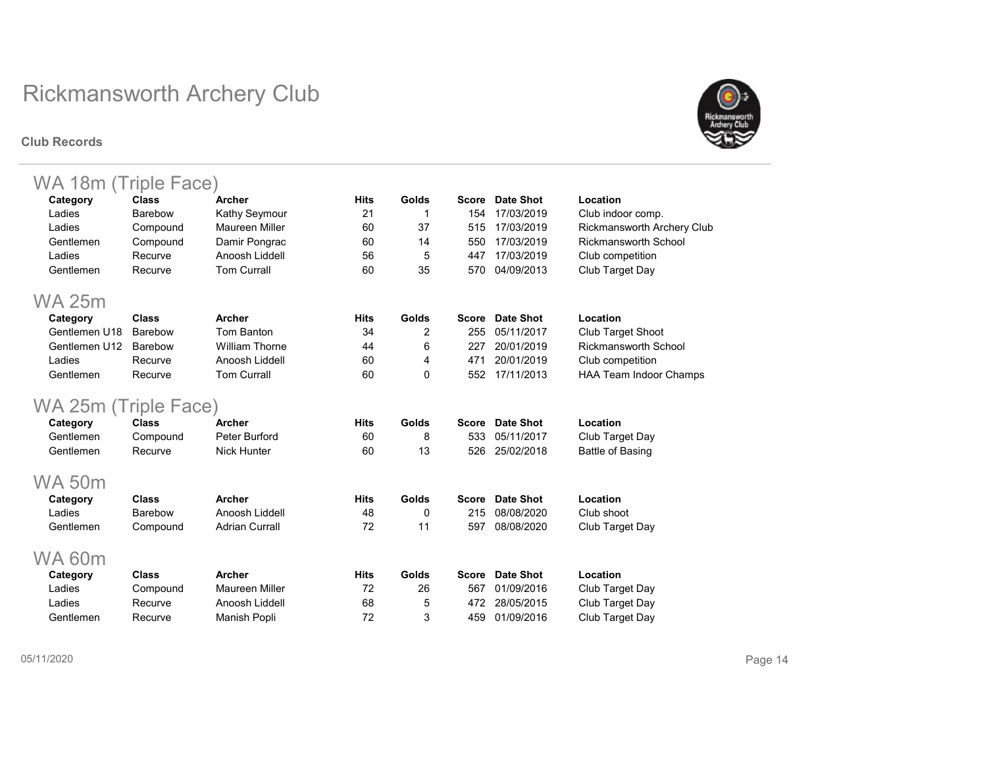#### Club Records



| WA 18m (Triple Face) |                |                       |             |          |              |                  |                                   |
|----------------------|----------------|-----------------------|-------------|----------|--------------|------------------|-----------------------------------|
| Category             | <b>Class</b>   | <b>Archer</b>         | <b>Hits</b> | Golds    | <b>Score</b> | Date Shot        | Location                          |
| Ladies               | <b>Barebow</b> | Kathy Seymour         | 21          | 1        | 154          | 17/03/2019       | Club indoor comp.                 |
| Ladies               | Compound       | Maureen Miller        | 60          | 37       | 515          | 17/03/2019       | <b>Rickmansworth Archery Club</b> |
| Gentlemen            | Compound       | Damir Pongrac         | 60          | 14       | 550          | 17/03/2019       | <b>Rickmansworth School</b>       |
| Ladies               | Recurve        | Anoosh Liddell        | 56          | 5        | 447          | 17/03/2019       | Club competition                  |
| Gentlemen            | Recurve        | <b>Tom Currall</b>    | 60          | 35       | 570          | 04/09/2013       | Club Target Day                   |
| <b>WA 25m</b>        |                |                       |             |          |              |                  |                                   |
| Category             | <b>Class</b>   | Archer                | <b>Hits</b> | Golds    | <b>Score</b> | <b>Date Shot</b> | Location                          |
| Gentlemen U18        | Barebow        | Tom Banton            | 34          | 2        | 255          | 05/11/2017       | <b>Club Target Shoot</b>          |
| Gentlemen U12        | Barebow        | <b>William Thorne</b> | 44          | 6        | 227          | 20/01/2019       | <b>Rickmansworth School</b>       |
| Ladies               | Recurve        | Anoosh Liddell        | 60          | 4        | 471          | 20/01/2019       | Club competition                  |
| Gentlemen            | Recurve        | <b>Tom Currall</b>    | 60          | $\Omega$ | 552          | 17/11/2013       | <b>HAA Team Indoor Champs</b>     |
| WA 25m (Triple Face) |                |                       |             |          |              |                  |                                   |
| Category             | <b>Class</b>   | Archer                | <b>Hits</b> | Golds    | <b>Score</b> | Date Shot        | Location                          |
| Gentlemen            | Compound       | Peter Burford         | 60          | 8        | 533          | 05/11/2017       | Club Target Day                   |
| Gentlemen            | Recurve        | <b>Nick Hunter</b>    | 60          | 13       | 526          | 25/02/2018       | <b>Battle of Basing</b>           |
| <b>WA 50m</b>        |                |                       |             |          |              |                  |                                   |
| Category             | <b>Class</b>   | Archer                | <b>Hits</b> | Golds    | <b>Score</b> | <b>Date Shot</b> | Location                          |
| Ladies               | <b>Barebow</b> | Anoosh Liddell        | 48          | 0        | 215          | 08/08/2020       | Club shoot                        |
| Gentlemen            | Compound       | <b>Adrian Currall</b> | 72          | 11       | 597          | 08/08/2020       | Club Target Day                   |
| WA 60m               |                |                       |             |          |              |                  |                                   |
| Category             | <b>Class</b>   | <b>Archer</b>         | <b>Hits</b> | Golds    | <b>Score</b> | <b>Date Shot</b> | Location                          |
| Ladies               | Compound       | <b>Maureen Miller</b> | 72          | 26       | 567          | 01/09/2016       | Club Target Day                   |
| Ladies               | Recurve        | Anoosh Liddell        | 68          | 5        | 472          | 28/05/2015       | Club Target Day                   |
| Gentlemen            | Recurve        | Manish Popli          | 72          | 3        | 459          | 01/09/2016       | Club Target Day                   |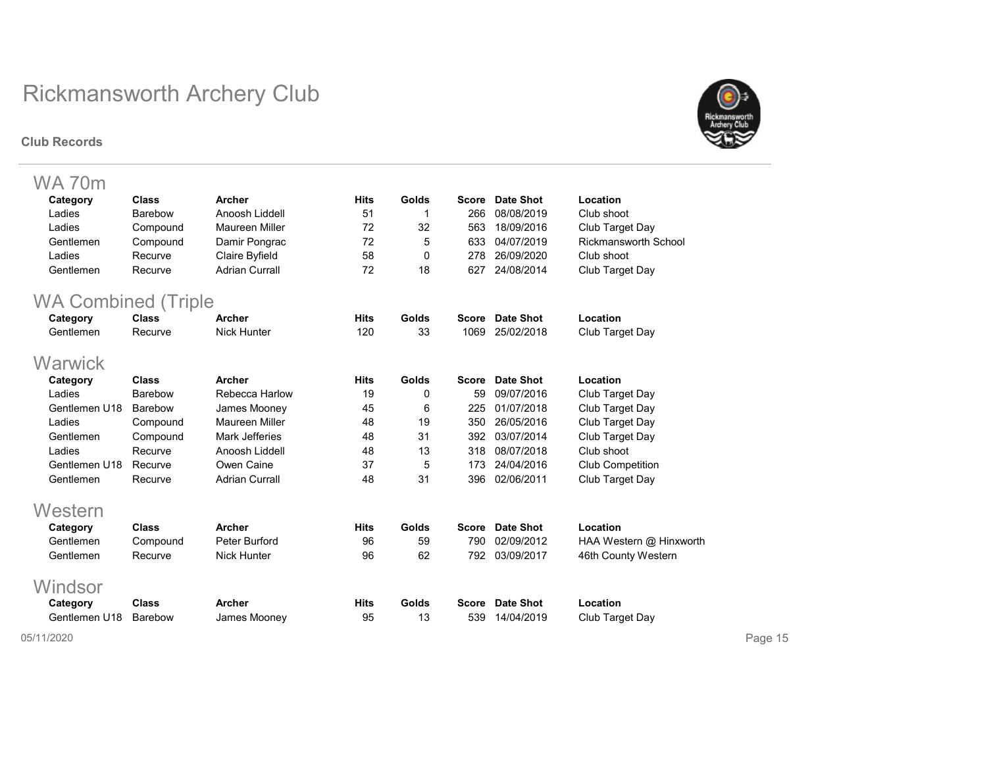#### Club Records



| WA 70m                     |                |                       |             |              |              |                  |                             |
|----------------------------|----------------|-----------------------|-------------|--------------|--------------|------------------|-----------------------------|
| Category                   | <b>Class</b>   | Archer                | <b>Hits</b> | Golds        | <b>Score</b> | <b>Date Shot</b> | Location                    |
| Ladies                     | Barebow        | Anoosh Liddell        | 51          | 1            | 266          | 08/08/2019       | Club shoot                  |
| Ladies                     | Compound       | <b>Maureen Miller</b> | 72          | 32           | 563          | 18/09/2016       | Club Target Day             |
| Gentlemen                  | Compound       | Damir Pongrac         | 72          | 5            | 633          | 04/07/2019       | <b>Rickmansworth School</b> |
| Ladies                     | Recurve        | Claire Byfield        | 58          | 0            | 278          | 26/09/2020       | Club shoot                  |
| Gentlemen                  | Recurve        | <b>Adrian Currall</b> | 72          | 18           | 627          | 24/08/2014       | Club Target Day             |
| <b>WA Combined (Triple</b> |                |                       |             |              |              |                  |                             |
| Category                   | <b>Class</b>   | Archer                | <b>Hits</b> | Golds        | <b>Score</b> | Date Shot        | Location                    |
| Gentlemen                  | Recurve        | <b>Nick Hunter</b>    | 120         | 33           | 1069         | 25/02/2018       | Club Target Day             |
| Warwick                    |                |                       |             |              |              |                  |                             |
| Category                   | Class          | Archer                | <b>Hits</b> | Golds        | <b>Score</b> | Date Shot        | Location                    |
| Ladies                     | Barebow        | Rebecca Harlow        | 19          | 0            | 59           | 09/07/2016       | Club Target Day             |
| Gentlemen U18              | <b>Barebow</b> | James Mooney          | 45          | 6            | 225          | 01/07/2018       | Club Target Day             |
| Ladies                     | Compound       | Maureen Miller        | 48          | 19           | 350          | 26/05/2016       | Club Target Day             |
| Gentlemen                  | Compound       | <b>Mark Jefferies</b> | 48          | 31           | 392          | 03/07/2014       | Club Target Day             |
| Ladies                     | Recurve        | Anoosh Liddell        | 48          | 13           | 318          | 08/07/2018       | Club shoot                  |
| Gentlemen U18              | Recurve        | Owen Caine            | 37          | 5            | 173          | 24/04/2016       | <b>Club Competition</b>     |
| Gentlemen                  | Recurve        | <b>Adrian Currall</b> | 48          | 31           | 396          | 02/06/2011       | Club Target Day             |
| Western                    |                |                       |             |              |              |                  |                             |
| Category                   | <b>Class</b>   | Archer                | <b>Hits</b> | <b>Golds</b> | <b>Score</b> | <b>Date Shot</b> | Location                    |
| Gentlemen                  | Compound       | Peter Burford         | 96          | 59           | 790          | 02/09/2012       | HAA Western @ Hinxworth     |
| Gentlemen                  | Recurve        | <b>Nick Hunter</b>    | 96          | 62           | 792          | 03/09/2017       | 46th County Western         |
| Windsor                    |                |                       |             |              |              |                  |                             |
| Category                   | <b>Class</b>   | Archer                | <b>Hits</b> | Golds        | Score        | Date Shot        | Location                    |
| Gentlemen U18              | Barebow        | James Mooney          | 95          | 13           | 539          | 14/04/2019       | Club Target Day             |